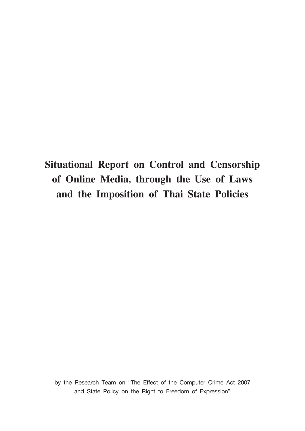## **Situational Report on Control and Censorship of Online Media, through the Use of Laws and the Imposition of Thai State Policies**

by the Research Team on "The Effect of the Computer Crime Act 2007 and State Policy on the Right to Freedom of Expression"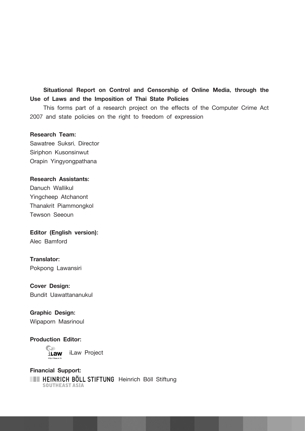## **Situational Report on Control and Censorship of Online Media, through the Use of Laws and the Imposition of Thai State Policies**

This forms part of a research project on the effects of the Computer Crime Act 2007 and state policies on the right to freedom of expression

#### **Research Team:**

Sawatree Suksri, Director Siriphon Kusonsinwut Orapin Yingyongpathana

#### **Research Assistants:**

Danuch Wallikul Yingcheep Atchanont Thanakrit Piammongkol Tewson Seeoun

#### **Editor (English version):**

Alec Bamford

## **Translator:**

Pokpong Lawansiri

## **Cover Design:**

Bundit Uawattananukul

## **Graphic Design:**

Wipaporn Masrinoul

## **Production Editor:**

iLaw **iLaw Project** 

## **Financial Support: HEINRICH BÖLL STIFTUNG** Heinrich Böll Stiftung<br>southeast asia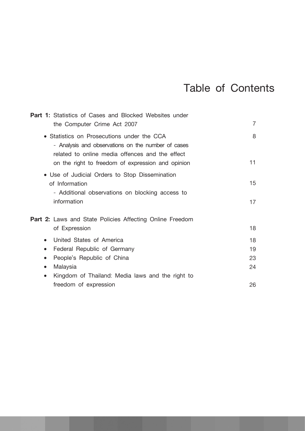## Table of Contents

| <b>Part 1:</b> Statistics of Cases and Blocked Websites under                                                                                                                                            |                |
|----------------------------------------------------------------------------------------------------------------------------------------------------------------------------------------------------------|----------------|
| the Computer Crime Act 2007                                                                                                                                                                              | $\overline{7}$ |
| • Statistics on Prosecutions under the CCA<br>- Analysis and observations on the number of cases<br>related to online media offences and the effect<br>on the right to freedom of expression and opinion | 8<br>11        |
|                                                                                                                                                                                                          |                |
| • Use of Judicial Orders to Stop Dissemination<br>of Information<br>- Additional observations on blocking access to                                                                                      | 15             |
| information                                                                                                                                                                                              | 17             |
| <b>Part 2:</b> Laws and State Policies Affecting Online Freedom                                                                                                                                          |                |
| of Expression                                                                                                                                                                                            | 18             |
| United States of America<br>$\bullet$                                                                                                                                                                    | 18             |
| Federal Republic of Germany<br>$\bullet$                                                                                                                                                                 | 19             |
| People's Republic of China<br>$\bullet$                                                                                                                                                                  | 23             |
| Malaysia<br>$\bullet$                                                                                                                                                                                    | 24             |
| Kingdom of Thailand: Media laws and the right to<br>$\bullet$                                                                                                                                            |                |
| freedom of expression                                                                                                                                                                                    | 26             |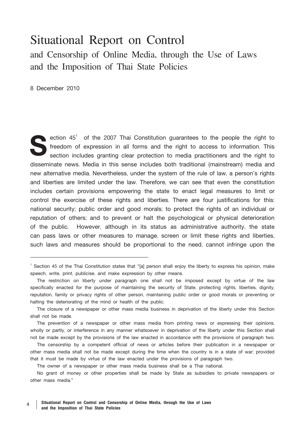## Situational Report on Control and Censorship of Online Media, through the Use of Laws and the Imposition of Thai State Policies

8 December 2010

ection  $45<sup>1</sup>$  of the 2007 Thai Constitution guarantees to the people the right to freedom of expression in all forms and the right to access to information. This section includes granting clear protection to media practitioners and the right to disseminate news. Media in this sense includes both traditional (mainstream) media and new alternative media. Nevertheless, under the system of the rule of law, a person's rights and liberties are limited under the law. Therefore, we can see that even the constitution includes certain provisions empowering the state to enact legal measures to limit or control the exercise of these rights and liberties. There are four justifications for this: national security; public order and good morals; to protect the rights of an individual or reputation of others; and to prevent or halt the psychological or physical deterioration of the public. However, although in its status as administrative authority, the state can pass laws or other measures to manage, screen or limit these rights and liberties, such laws and measures should be proportional to the need, cannot infringe upon the

The owner of a newspaper or other mass media business shall be a Thai national.

No grant of money or other properties shall be made by State as subsidies to private newspapers or other mass media."

<sup>&</sup>lt;sup>1</sup> Section 45 of the Thai Constitution states that "[a] person shall enjoy the liberty to express his opinion, make speech, write, print, publicise, and make expression by other means.

The restriction on liberty under paragraph one shall not be imposed except by virtue of the law specifically enacted for the purpose of maintaining the security of State, protecting rights, liberties, dignity, reputation, family or privacy rights of other person, maintaining public order or good morals or preventing or halting the deteriorating of the mind or health of the public.

The closure of a newspaper or other mass media business in deprivation of the liberty under this Section shall not be made.

The prevention of a newspaper or other mass media from printing news or expressing their opinions, wholly or partly, or interference in any manner whatsoever in deprivation of the liberty under this Section shall not be made except by the provisions of the law enacted in accordance with the provisions of paragraph two.

The censorship by a competent official of news or articles before their publication in a newspaper or other mass media shall not be made except during the time when the country is in a state of war; provided that it must be made by virtue of the law enacted under the provisions of paragraph two.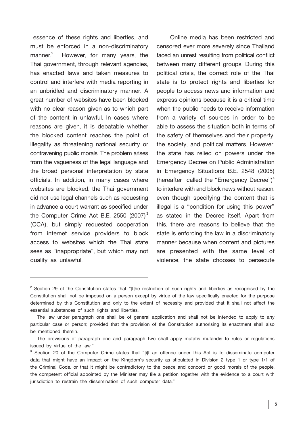essence of these rights and liberties, and must be enforced in a non-discriminatory  $m$ anner. $2$  However, for many years, the Thai government, through relevant agencies, has enacted laws and taken measures to control and interfere with media reporting in an unbridled and discriminatory manner. A great number of websites have been blocked with no clear reason given as to which part of the content in unlawful. In cases where reasons are given, it is debatable whether the blocked content reaches the point of illegality as threatening national security or contravening public morals. The problem arises from the vagueness of the legal language and the broad personal interpretation by state officials. In addition, in many cases where websites are blocked, the Thai government did not use legal channels such as requesting in advance a court warrant as specified under the Computer Crime Act B.E. 2550  $(2007)^3$ (CCA), but simply requested cooperation from internet service providers to block access to websites which the Thai state sees as "inappropriate", but which may not qualify as unlawful.

Online media has been restricted and censored ever more severely since Thailand faced an unrest resulting from political conflict between many different groups. During this political crisis, the correct role of the Thai state is to protect rights and liberties for people to access news and information and express opinions because it is a critical time when the public needs to receive information from a variety of sources in order to be able to assess the situation both in terms of the safety of themselves and their property, the society, and political matters. However, the state has relied on powers under the Emergency Decree on Public Administration in Emergency Situations B.E. 2548 (2005) (hereafter called the "Emergency Decree")<sup>4</sup> to interfere with and block news without reason, even though specifying the content that is illegal is a "condition for using this power" as stated in the Decree itself. Apart from this, there are reasons to believe that the state is enforcing the law in a discriminatory manner because when content and pictures are presented with the same level of violence, the state chooses to persecute

 $2^2$  Section 29 of the Constitution states that "[t]he restriction of such rights and liberties as recognised by the Constitution shall not be imposed on a person except by virtue of the law specifically enacted for the purpose determined by this Constitution and only to the extent of necessity and provided that it shall not affect the essential substances of such rights and liberties.

The law under paragraph one shall be of general application and shall not be intended to apply to any particular case or person; provided that the provision of the Constitution authorising its enactment shall also be mentioned therein.

The provisions of paragraph one and paragraph two shall apply mutatis mutandis to rules or regulations issued by virtue of the law."

<sup>&</sup>lt;sup>3</sup> Section 20 of the Computer Crime states that "[i]f an offence under this Act is to disseminate computer data that might have an impact on the Kingdom's security as stipulated in Division 2 type 1 or type 1/1 of the Criminal Code, or that it might be contradictory to the peace and concord or good morals of the people, the competent official appointed by the Minister may file a petition together with the evidence to a court with jurisdiction to restrain the dissemination of such computer data."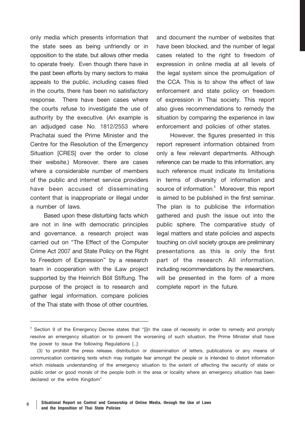only media which presents information that the state sees as being unfriendly or in opposition to the state, but allows other media to operate freely. Even though there have in the past been efforts by many sectors to make appeals to the public, including cases filed in the courts, there has been no satisfactory response. There have been cases where the courts refuse to investigate the use of authority by the executive. (An example is an adjudged case No. 1812/2553 where Prachatai sued the Prime Minister and the Centre for the Resolution of the Emergency Situation [CRES] over the order to close their website.) Moreover, there are cases where a considerable number of members of the public and internet service providers have been accused of disseminating content that is inappropriate or illegal under a number of laws.

Based upon these disturbing facts which are not in line with democratic principles and governance, a research project was carried out on "The Effect of the Computer Crime Act 2007 and State Policy on the Right to Freedom of Expression" by a research team in cooperation with the iLaw project supported by the Heinrich Böll Stiftung. The purpose of the project is to research and gather legal information, compare policies of the Thai state with those of other countries,

and document the number of websites that have been blocked, and the number of legal cases related to the right to freedom of expression in online media at all levels of the legal system since the promulgation of the CCA. This is to show the effect of law enforcement and state policy on freedom of expression in Thai society. This report also gives recommendations to remedy the situation by comparing the experience in law enforcement and policies of other states.

However, the figures presented in this report represent information obtained from only a few relevant departments. Although reference can be made to this information, any such reference must indicate its limitations in terms of diversity of information and source of information.<sup>5</sup> Moreover, this report is aimed to be published in the first seminar. The plan is to publicise the information gathered and push the issue out into the public sphere. The comparative study of legal matters and state policies and aspects touching on civil society groups are preliminary presentations as this is only the first part of the research. All information, including recommendations by the researchers, will be presented in the form of a more complete report in the future.

<sup>&</sup>lt;sup>4</sup> Section 9 of the Emergency Decree states that "[i]n the case of necessity in order to remedy and promply resolve an emergency situation or to prevent the worsening of such situation, the Prime Minister shall have the power to issue the following Regulations [...]:

<sup>(3)</sup> to prohibit the press release, distribution or dissemination of letters, publications or any means of communication containing texts which may instigate fear amongst the people or is intended to distort information which misleads understanding of the emergency situation to the extent of affecting the security of state or public order or good morals of the people both in the area or locality where an emergency situation has been declared or the entire Kingdom"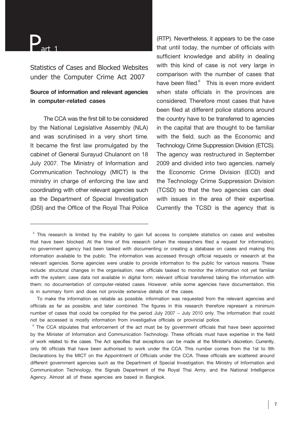# $P_{\text{art 1}}$

**Statistics of Cases and Blocked Websites under the Computer Crime Act 2007** 

## **Source of information and relevant agencies in computer-related cases**

The CCA was the first bill to be considered by the National Legislative Assembly (NLA) and was scrutinised in a very short time. It became the first law promulgated by the cabinet of General Surayud Chulanont on 18 July 2007. The Ministry of Information and Communication Technology (MICT) is the ministry in charge of enforcing the law and coordinating with other relevant agencies such as the Department of Special Investigation (DSI) and the Office of the Royal Thai Police

(RTP). Nevertheless, it appears to be the case that until today, the number of officials with sufficient knowledge and ability in dealing with this kind of case is not very large in comparison with the number of cases that have been filed. $6$  This is even more evident when state officials in the provinces are considered. Therefore most cases that have been filed at different police stations around the country have to be transferred to agencies in the capital that are thought to be familiar with the field, such as the Economic and Technology Crime Suppression Division (ETCS). The agency was restructured in September 2009 and divided into two agencies, namely the Economic Crime Division (ECD) and the Technology Crime Suppression Division (TCSD) so that the two agencies can deal with issues in the area of their expertise. Currently the TCSD is the agency that is

<sup>&</sup>lt;sup>5</sup> This research is limited by the inability to gain full access to complete statistics on cases and websites that have been blocked. At the time of this research (when the researchers filed a request for information), no government agency had been tasked with documenting or creating a database on cases and making this information available to the public. The information was accessed through official requests or research at the relevant agencies. Some agencies were unable to provide information to the public for various reasons. These include: structural changes in the organisation; new officials tasked to monitor the information not yet familiar with the system; case data not available in digital form; relevant official transferred taking the information with them; no documentation of computer-related cases. However, while some agencies have documentation, this is in summary form and does not provide extensive details of the cases.

To make the information as reliable as possible, information was requested from the relevant agencies and officials as far as possible, and later combined. The figures in this research therefore represent a minimum number of cases that could be compiled for the period July 2007 – July 2010 only. The information that could not be accessed is mostly information from investigative officials or provincial police.

 $6$  The CCA stipulates that enforcement of the act must be by government officials that have been appointed by the Minister of Information and Communication Technology. These officials must have expertise in the field of work related to the cases. The Act specifies that exceptions can be made at the Minister's discretion. Currently, only 96 officials that have been authorised to work under the CCA. This number comes from the 1st to 9th Declarations by the MICT on the Appointment of Officials under the CCA. These officials are scattered around different government agencies such as the Department of Special Investigation, the Ministry of Information and Communication Technology, the Signals Department of the Royal Thai Army, and the National Intelligence Agency. Almost all of these agencies are based in Bangkok.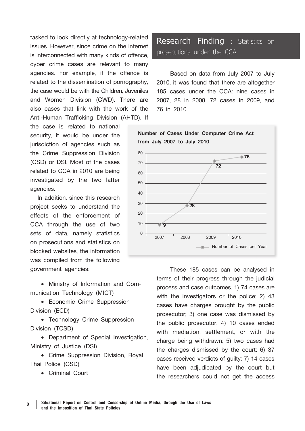tasked to look directly at technology-related issues. However, since crime on the internet is interconnected with many kinds of offence, cyber crime cases are relevant to many agencies. For example, if the offence is related to the dissemination of pornography, the case would be with the Children, Juveniles and Women Division (CWD). There are also cases that link with the work of the Anti-Human Trafficking Division (AHTD). If

the case is related to national security, it would be under the jurisdiction of agencies such as the Crime Suppression Division (CSD) or DSI. Most of the cases related to CCA in 2010 are being investigated by the two latter agencies.

In addition, since this research project seeks to understand the effects of the enforcement of CCA through the use of two sets of data, namely statistics on prosecutions and statistics on blocked websites, the information was compiled from the following government agencies:

• Ministry of Information and Communication Technology (MICT)

• Economic Crime Suppression Division (ECD)

• Technology Crime Suppression Division (TCSD)

• Department of Special Investigation, Ministry of Justice (DSI)

• Crime Suppression Division, Royal Thai Police (CSD)

• Criminal Court

## **Research Finding :** Statistics on prosecutions under the CCA

Based on data from July 2007 to July 2010, it was found that there are altogether 185 cases under the CCA: nine cases in 2007, 28 in 2008, 72 cases in 2009, and 76 in 2010.



These 185 cases can be analysed in terms of their progress through the judicial process and case outcomes. 1) 74 cases are with the investigators or the police; 2) 43 cases have charges brought by the public prosecutor; 3) one case was dismissed by the public prosecutor; 4) 10 cases ended with mediation, settlement, or with the charge being withdrawn; 5) two cases had the charges dismissed by the court; 6) 37 cases received verdicts of guilty; 7) 14 cases have been adjudicated by the court but the researchers could not get the access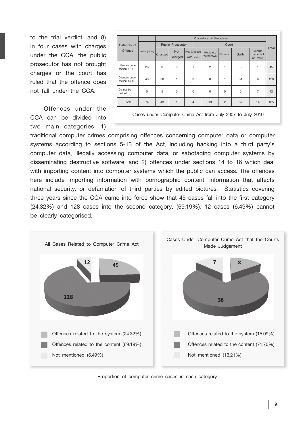to the trial verdict; and 8) in four cases with charges under the CCA, the public prosecutor has not brought charges or the court has ruled that the offence does not fall under the CCA.

Offences under the CCA can be divided into two main categories: 1)

|                                 |               | Procedure of the Case |                       |                |          |                        |                |        |                                  |       |  |  |  |
|---------------------------------|---------------|-----------------------|-----------------------|----------------|----------|------------------------|----------------|--------|----------------------------------|-------|--|--|--|
| Category of<br>Offence          |               |                       | Public Prosecutor     |                |          | Court                  |                |        |                                  |       |  |  |  |
|                                 | Investigating | Charged               | <b>Not</b><br>Charged | Not Charged    | with CCA | Mediated/<br>Withdrawn | Dismissed      | Guilty | Verdict<br>made but<br>no result | Total |  |  |  |
| Offences under<br>section 5-13  | 26            | 8                     | 0                     | 1              |          | $\overline{c}$         | 1              | 6      | 1                                | 45    |  |  |  |
| Offences under<br>section 14-16 | 48            | 30                    | 1                     | 3              |          | 8                      | 1              | 31     | 6                                | 128   |  |  |  |
| Cannot be<br>defined            | 0             | 5                     | 0                     | $\mathbf 0$    |          | $\mathbf 0$            | 0              | 0      | $\overline{7}$                   | 12    |  |  |  |
| Total                           | 74            | 43                    | 1                     | $\overline{4}$ |          | 10                     | $\overline{2}$ | 37     | 14                               | 185   |  |  |  |



traditional computer crimes comprising offences concerning computer data or computer systems according to sections 5-13 of the Act, including hacking into a third party's computer data, illegally accessing computer data, or sabotaging computer systems by disseminating destructive software; and 2) offences under sections 14 to 16 which deal with importing content into computer systems which the public can access. The offences here include importing information with pornographic content, information that affects national security, or defamation of third parties by edited pictures. Statistics covering three years since the CCA came into force show that 45 cases fall into the first category (24.32%) and 128 cases into the second category, (69.19%). 12 cases (6.49%) cannot be clearly categorised.



Proportion of computer crime cases in each category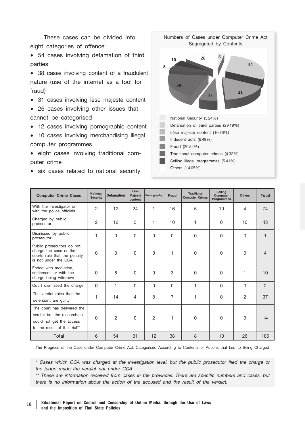These cases can be divided into eight categories of offence:

• 54 cases involving defamation of third parties

• 38 cases involving content of a fraudulent nature (use of the internet as a tool for fraud)

- 31 cases involving lèse majesté content
- 26 cases involving other issues that cannot be categorised

• 12 cases involving pornographic content

- 10 cases involving merchandising illegal computer programmes
- eight cases involving traditional computer crime
- six cases related to national security



| <b>Computer Crime Cases</b>                                                                                            | <b>National</b><br><b>Security</b> | <b>Defamation</b> | Lèse<br>Majesté<br>content | Pornography    | Fraud          | <b>Traditional</b><br><b>Computer Crimes</b> | Selling<br>Computer<br><b>Programmes</b> | <b>Others</b>  | Total          |
|------------------------------------------------------------------------------------------------------------------------|------------------------------------|-------------------|----------------------------|----------------|----------------|----------------------------------------------|------------------------------------------|----------------|----------------|
| With the investigator or<br>with the police officials                                                                  | $\overline{2}$                     | 12                | 24                         | 1              | 16             | 5                                            | 10                                       | 4              | 74             |
| Charged by public<br>prosecutor                                                                                        | $\overline{2}$                     | 16                | 3                          | 1              | 10             | 1                                            | 0                                        | 10             | 43             |
| Dismissed by public<br>prosecutor                                                                                      | 1                                  | 0                 | 0                          | $\Omega$       | $\Omega$       | $\mathbf 0$                                  | 0                                        | $\mathbf 0$    | $\mathbf{1}$   |
| Public prosecutors do not<br>charge the case or the<br>courts rule that the penalty<br>is not under the CCA            | 0                                  | 3                 | $\mathbf 0$                | $\mathbf 0$    | 1              | $\mathbf 0$                                  | $\mathbf 0$                              | $\mathbf 0$    | 4              |
| Ended with mediation.<br>settlement, or with the<br>charge being witdrawn                                              | 0                                  | 6                 | 0                          | $\mathbf 0$    | 3              | 0                                            | $\mathbf 0$                              | 1              | 10             |
| Court dismissed the charge                                                                                             | $\Omega$                           | 1                 | $\Omega$                   | $\Omega$       | $\Omega$       | 1                                            | 0                                        | $\Omega$       | $\overline{2}$ |
| The verdict rules that the<br>defendant are quilty                                                                     | 1                                  | 14                | 4                          | 8              | $\overline{7}$ | 1                                            | 0                                        | $\overline{2}$ | 37             |
| The court has delivered the<br>verdict but the researchers<br>could not get the access<br>to the result of the trial** | 0                                  | $\overline{2}$    | 0                          | $\overline{2}$ | 1              | $\mathbf 0$                                  | $\mathbf 0$                              | 9              | 14             |
| Total                                                                                                                  | 6                                  | 54                | 31                         | 12             | 38             | 8                                            | 10                                       | 26             | 185            |

The Progress of the Case under Computer Crime Act; Categorised According to Contents or Actions that Led to Being Charged

*\* Cases which CCA was charged at the investigation level, but the public prosecutor filed the charge or the judge made the verdict not under CCA*

*\*\* These are information received from cases in the provinces. There are specific numbers and cases, but there is no information about the action of the accused and the result of the verdict.*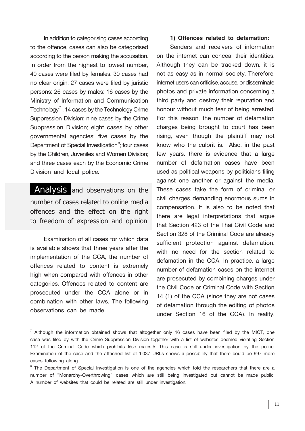In addition to categorising cases according to the offence, cases can also be categorised according to the person making the accusation. In order from the highest to lowest number, 40 cases were filed by females; 30 cases had no clear origin; 27 cases were filed by juristic persons; 26 cases by males; 16 cases by the Ministry of Information and Communication Technology<sup>7</sup> ; 14 cases by the Technology Crime Suppression Division; nine cases by the Crime Suppression Division; eight cases by other governmental agencies; five cases by the Department of Special Investigation<sup>8</sup>; four cases by the Children, Juveniles and Women Division; and three cases each by the Economic Crime Division and local police.

**Analysis and observations on the number of cases related to online media offences and the effect on the right to freedom of expression and opinion** 

Examination of all cases for which data is available shows that three years after the implementation of the CCA, the number of offences related to content is extremely high when compared with offences in other categories. Offences related to content are prosecuted under the CCA alone or in combination with other laws. The following observations can be made.

### **1) Offences related to defamation:**

Senders and receivers of information on the internet can conceal their identities. Although they can be tracked down, it is not as easy as in normal society. Therefore, internet users can criticise, accuse, or disseminate photos and private information concerning a third party and destroy their reputation and honour without much fear of being arrested. For this reason, the number of defamation charges being brought to court has been rising, even though the plaintiff may not know who the culprit is. Also, in the past few years, there is evidence that a large number of defamation cases have been used as political weapons by politicians filing against one another or against the media. These cases take the form of criminal or civil charges demanding enormous sums in compensation. It is also to be noted that there are legal interpretations that argue that Section 423 of the Thai Civil Code and Section 328 of the Criminal Code are already sufficient protection against defamation, with no need for the section related to defamation in the CCA. In practice, a large number of defamation cases on the internet are prosecuted by combining charges under the Civil Code or Criminal Code with Section 14 (1) of the CCA (since they are not cases of defamation through the editing of photos under Section 16 of the CCA). In reality,

 $^7$  Although the information obtained shows that altogether only 16 cases have been filed by the MICT, one case was filed by with the Crime Suppression Division together with a list of websites deemed violating Section 112 of the Criminal Code which prohibits lèse majesté. This case is still under investigation by the police. Examination of the case and the attached list of 1,037 URLs shows a possibility that there could be 997 more cases following along.

<sup>&</sup>lt;sup>8</sup> The Department of Special Investigation is one of the agencies which told the researchers that there are a number of "Monarchy-Overthrowing" cases which are still being investigated but cannot be made public. A number of websites that could be related are still under investigation.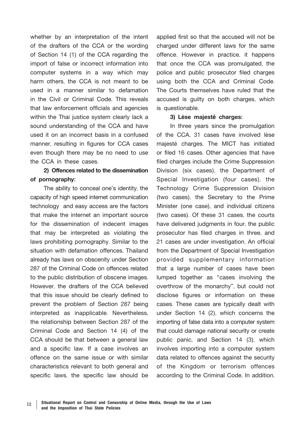whether by an interpretation of the intent of the drafters of the CCA or the wording of Section 14 (1) of the CCA regarding the import of false or incorrect information into computer systems in a way which may harm others, the CCA is not meant to be used in a manner similar to defamation in the Civil or Criminal Code. This reveals that law enforcement officials and agencies within the Thai justice system clearly lack a sound understanding of the CCA and have used it on an incorrect basis in a confused manner, resulting in figures for CCA cases even though there may be no need to use the CCA in these cases.

## **2) Offences related to the dissemination of pornography:**

The ability to conceal one's identity, the capacity of high speed internet communication technology and easy access are the factors that make the internet an important source for the dissemination of indecent images that may be interpreted as violating the laws prohibiting pornography. Similar to the situation with defamation offences, Thailand already has laws on obscenity under Section 287 of the Criminal Code on offences related to the public distribution of obscene images. However, the drafters of the CCA believed that this issue should be clearly defined to prevent the problem of Section 287 being interpreted as inapplicable. Nevertheless, the relationship between Section 287 of the Criminal Code and Section 14 (4) of the CCA should be that between a general law and a specific law. If a case involves an offence on the same issue or with similar characteristics relevant to both general and specific laws, the specific law should be

applied first so that the accused will not be charged under different laws for the same offence. However in practice, it happens that once the CCA was promulgated, the police and public prosecutor filed charges using both the CCA and Criminal Code. The Courts themselves have ruled that the accused is guilty on both charges, which is questionable.

#### **3) Lèse majesté charges:**

In three years since the promulgation of the CCA, 31 cases have involved lèse majesté charges. The MICT has initiated or filed 16 cases. Other agencies that have filed charges include the Crime Suppression Division (six cases), the Department of Special Investigation (four cases), the Technology Crime Suppression Division (two cases), the Secretary to the Prime Minister (one case), and individual citizens (two cases). Of these 31 cases, the courts have delivered judgments in four, the public prosecutor has filed charges in three, and 21 cases are under investigation. An official from the Department of Special Investigation provided supplementary information that a large number of cases have been lumped together as "cases involving the overthrow of the monarchy", but could not disclose figures or information on these cases. These cases are typically dealt with under Section 14 (2), which concerns the importing of false data into a computer system that could damage national security or create public panic, and Section 14 (3), which involves importing into a computer system data related to offences against the security of the Kingdom or terrorism offences according to the Criminal Code. In addition,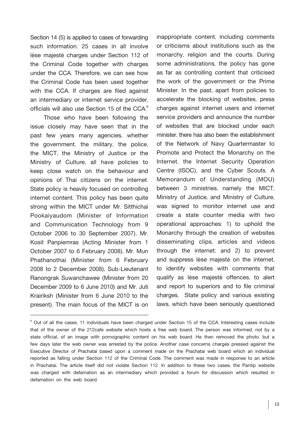Section 14 (5) is applied to cases of forwarding such information. 25 cases in all involve lèse majesté charges under Section 112 of the Criminal Code together with charges under the CCA. Therefore, we can see how the Criminal Code has been used together with the CCA. If charges are filed against an intermediary or internet service provider, officials will also use Section 15 of the CCA.<sup>9</sup>

Those who have been following the issue closely may have seen that in the past few years many agencies, whether the government, the military, the police, the MICT, the Ministry of Justice or the Ministry of Culture, all have policies to keep close watch on the behaviour and opinions of Thai citizens on the internet. State policy is heavily focused on controlling internet content. This policy has been quite strong within the MICT under Mr. Sitthichai Pookaiyaudom (Minister of Information and Communication Technology from 9 October 2006 to 30 September 2007), Mr. Kosit Panpiemras (Acting Minister from 1 October 2007 to 6 February 2008), Mr. Mun Phathanothai (Minister from 6 February 2008 to 2 December 2008), Sub-Lieutenant Ranongrak Suwanchawee (Minister from 20 December 2009 to 6 June 2010) and Mr. Juti Krairiksh (Minister from 6 June 2010 to the present). The main focus of the MICT is on inappropriate content, including comments or criticisms about institutions such as the monarchy, religion and the courts. During some administrations, the policy has gone as far as controlling content that criticised the work of the government or the Prime Minister. In the past, apart from policies to accelerate the blocking of websites, press charges against internet users and internet service providers and announce the number of websites that are blocked under each minister, there has also been the establishment of the Network of Navy Quartermaster to Promote and Protect the Monarchy on the Internet, the Internet Security Operation Centre (ISOC), and the Cyber Scouts. A Memorandum of Understanding (MOU) between 3 ministries, namely the MICT, Ministry of Justice, and Ministry of Culture, was signed to monitor internet use and create a state counter media with two operational approaches: 1) to uphold the Monarchy through the creation of websites disseminating clips, articles and videos through the internet; and 2) to prevent and suppress lèse majesté on the internet, to identify websites with comments that qualify as lèse majesté offences, to alert and report to superiors and to file criminal charges. State policy and various existing laws, which have been seriously questioned

<sup>&</sup>lt;sup>9</sup> Out of all the cases, 11 individuals have been charged under Section 15 of the CCA. Interesting cases include that of the owner of the 212cafe website which hosts a free web board. The person was informed, not by a state official, of an image with pornographic content on his web board. He then removed the photo, but a few days later the web owner was arrested by the police. Another case concerns charges pressed against the Executive Director of Prachatai based upon a comment made on the Prachatai web board which an individual reported as falling under Section 112 of the Criminal Code. The comment was made in response to an article in Prachatai. The article itself did not violate Section 112. In addition to these two cases, the Pantip website was charged with defamation as an intermediary which provided a forum for discussion which resulted in defamation on the web board.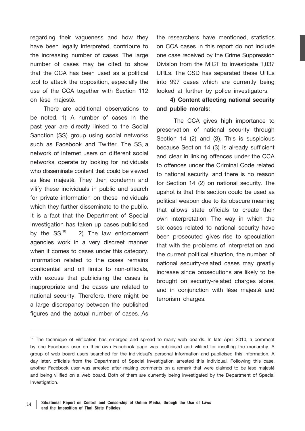regarding their vagueness and how they have been legally interpreted, contribute to the increasing number of cases. The large number of cases may be cited to show that the CCA has been used as a political tool to attack the opposition, especially the use of the CCA together with Section 112 on lèse majesté.

There are additional observations to be noted. 1) A number of cases in the past year are directly linked to the Social Sanction (SS) group using social networks such as Facebook and Twitter. The SS, a network of internet users on different social networks, operate by looking for individuals who disseminate content that could be viewed as lèse majesté. They then condemn and vilify these individuals in public and search for private information on those individuals which they further disseminate to the public. It is a fact that the Department of Special Investigation has taken up cases publicised<br>by the  $SS^{10}$  2) The law enforcement 2) The law enforcement agencies work in a very discreet manner when it comes to cases under this category. Information related to the cases remains confidential and off limits to non-officials, with excuse that publicising the cases is inappropriate and the cases are related to national security. Therefore, there might be a large discrepancy between the published figures and the actual number of cases. As

the researchers have mentioned, statistics on CCA cases in this report do not include one case received by the Crime Suppression Division from the MICT to investigate 1,037 URLs. The CSD has separated these URLs into 997 cases which are currently being looked at further by police investigators.

## **4) Content affecting national security and public morals:**

 The CCA gives high importance to preservation of national security through Section 14 (2) and (3). This is suspicious because Section 14 (3) is already sufficient and clear in linking offences under the CCA to offences under the Criminal Code related to national security, and there is no reason for Section 14 (2) on national security. The upshot is that this section could be used as political weapon due to its obscure meaning that allows state officials to create their own interpretation. The way in which the six cases related to national security have been prosecuted gives rise to speculation that with the problems of interpretation and the current political situation, the number of national security-related cases may greatly increase since prosecutions are likely to be brought on security-related charges alone, and in conjunction with lèse majesté and terrorism charges.

 $10$  The technique of vilification has emerged and spread to many web boards. In late April 2010, a comment by one Facebook user on their own Facebook page was publicised and vilified for insulting the monarchy. A group of web board users searched for the individual's personal information and publicised this information. A day later, officials from the Department of Special Investigation arrested this individual. Following this case, another Facebook user was arrested after making comments on a remark that were claimed to be lèse majest<sup>é</sup> and being vilified on a web board. Both of them are currently being investigated by the Department of Special Investigation.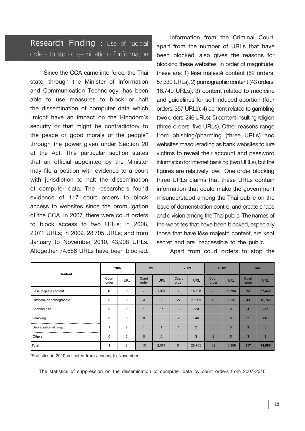## **Research Finding :** Use of judicial orders to stop dissemination of information

Since the CCA came into force, the Thai state, through the Minister of Information and Communication Technology, has been able to use measures to block or halt the dissemination of computer data which "might have an impact on the Kingdom's security or that might be contradictory to the peace or good morals of the people" through the power given under Section 20 of the Act. This particular section states that an official appointed by the Minister may file a petition with evidence to a court with jurisdiction to halt the dissemination of computer data. The researchers found evidence of 117 court orders to block access to websites since the promulgation of the CCA. In 2007, there were court orders to block access to two URLs; in 2008, 2,071 URLs; in 2009, 28,705 URLs; and from January to November 2010, 43,908 URLs. Altogether 74,686 URLs have been blocked.

Information from the Criminal Court, apart from the number of URLs that have been blocked, also gives the reasons for blocking these websites. In order of magnitude, these are: 1) lèse majesté content (62 orders; 57,330 URLs); 2) pornographic content (43 orders; 16,740 URLs); 3) content related to medicine and guidelines for self-induced abortion (four orders; 357 URLs); 4) content related to gambling (two orders; 246 URLs); 5) content insulting religion (three orders; five URLs). Other reasons range from phishing/pharming (three URLs) and websites masquerading as bank websites to lure victims to reveal their account and password information for internet banking (two URLs), but the figures are relatively low. One order blocking three URLs claims that these URLs contain information that could make the government misunderstood among the Thai public on the issue of demonstration control and create chaos and division among the Thai public. The names of the websites that have been blocked, especially those that have lèse majesté content, are kept secret and are inaccessible to the public.

Apart from court orders to stop the

| Content                  | 2007           |                |                | 2008       |                | 2009           | 2010*          |            | <b>Total</b>            |            |
|--------------------------|----------------|----------------|----------------|------------|----------------|----------------|----------------|------------|-------------------------|------------|
|                          | Court<br>order | URL            | Court<br>order | <b>URL</b> | Court<br>order | <b>URL</b>     | Court<br>order | <b>URL</b> | Court<br>order          | <b>URL</b> |
| Lèse majesté content     | 0              | 0              | $\overline{7}$ | 1,937      | 30             | 16,525         | 25             | 38,868     | 62                      | 57,330     |
| Obscene or pornographic  | 0              | 0              | $\overline{4}$ | 96         | 27             | 11,609         | 12             | 5,035      | 43                      | 16,740     |
| Abortion pills           | $\Omega$       | 0              |                | 37         | 3              | 320            | $\Omega$       | $\Omega$   | $\overline{A}$          | 357        |
| Gambling                 | $\Omega$       | 0              | $\Omega$       | $\Omega$   | $\overline{2}$ | 246            | $\Omega$       | $\Omega$   | $\overline{2}$          | 246        |
| Depreciation of religion | 4              | $\overline{2}$ | $\overline{ }$ |            |                | $\overline{2}$ | $\Omega$       | $\Omega$   | $\overline{\mathbf{3}}$ | 5          |
| Others                   | 0              | 0              | $\Omega$       | $\Omega$   |                | 3              | $\overline{2}$ | 5          | $\overline{3}$          | 8          |
| <b>Total</b>             | 1              | $\overline{2}$ | 13             | 2,071      | 64             | 28,705         | 39             | 43,908     | 117                     | 74,686     |

\*Statistics in 2010 collected from January to November.

The statistics of suppression on the dissemination of computer data by court orders from 2007-2010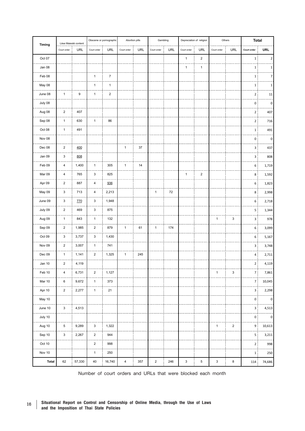| Timing       | Lèse Maiesté content    |        | Obscene or pornographic |                |              | Abortion pills | Gambling       |     |              | Depreciation of religion | Others       |                           | <b>Total</b>   |                |
|--------------|-------------------------|--------|-------------------------|----------------|--------------|----------------|----------------|-----|--------------|--------------------------|--------------|---------------------------|----------------|----------------|
|              | Court order             | URL    | Court order             | URL            | Court order  | URL            | Court order    | URL | Court order  | URL                      | Court order  | URL                       | Court order    | <b>URL</b>     |
| Oct 07       |                         |        |                         |                |              |                |                |     | $\mathbf{1}$ | $\mathbf 2$              |              |                           | 1              | 2              |
| Jan 08       |                         |        |                         |                |              |                |                |     | $\mathbf{1}$ | $\mathbf{1}$             |              |                           | 1:             | 1              |
| Feb 08       |                         |        | $\mathbf{1}$            | $\overline{7}$ |              |                |                |     |              |                          |              |                           | 1              | $\overline{7}$ |
| May 08       |                         |        | $\mathbf{1}$            | $\mathbf{1}$   |              |                |                |     |              |                          |              |                           | 1              | 1              |
| June 08      | $\mathbf{1}$            | 9      | $\mathbf{1}$            | $\mathbf 2$    |              |                |                |     |              |                          |              |                           | $\overline{2}$ | 11             |
| July 08      |                         |        |                         |                |              |                |                |     |              |                          |              |                           | 0              | $\pmb{0}$      |
| Aug 08       | $\sqrt{2}$              | 407    |                         |                |              |                |                |     |              |                          |              |                           | 2:             | 407            |
| Sep 08       | $\mathbf{1}$            | 630    | $\mathbf{1}$            | 86             |              |                |                |     |              |                          |              |                           | 2:             | 716            |
| Oct 08       | $\mathbf{1}$            | 491    |                         |                |              |                |                |     |              |                          |              |                           | $\mathbf 1$    | 491            |
| Nov 08       |                         |        |                         |                |              |                |                |     |              |                          |              |                           | 0              | 0              |
| Dec 08       | $\sqrt{2}$              | 400    |                         |                | $\mathbf{1}$ | 37             |                |     |              |                          |              |                           | 3 <sup>1</sup> | 437            |
| Jan 09       | 3                       | 808    |                         |                |              |                |                |     |              |                          |              |                           | 3              | 808            |
| Feb 09       | 4                       | 1,400  | $\mathbf{1}$            | 305            | $\mathbf{1}$ | 14             |                |     |              |                          |              |                           | 6              | 1,719          |
| Mar 09       | 4                       | 765    | 3                       | 825            |              |                |                |     | $\mathbf{1}$ | $\mathbf 2$              |              |                           | 8              | 1,592          |
| Apr 09       | $\mathbf 2$             | 887    | 4                       | 936            |              |                |                |     |              |                          |              |                           | 6              | 1,823          |
| May 09       | 3                       | 713    | 4                       | 2,213          |              |                | $\mathbf{1}$   | 72  |              |                          |              |                           | 8              | 2,998          |
| June 09      | 3                       | 770    | 3                       | 1,948          |              |                |                |     |              |                          |              |                           | 6              | 2,718          |
| July 09      | $\mathbf 2$             | 469    | 3                       | 875            |              |                |                |     |              |                          |              |                           | 5              | 1,344          |
| Aug 09       | $\mathbf{1}$            | 843    | $\mathbf{1}$            | 132            |              |                |                |     |              |                          | 1            | $\ensuremath{\mathsf{3}}$ | 3:             | 978            |
| Sep 09       | $\mathbf 2$             | 1,985  | $\overline{2}$          | 879            | $\mathbf{1}$ | 61             | $\mathbf{1}$   | 174 |              |                          |              |                           | 6              | 3,099          |
| Oct 09       | 3                       | 3,737  | 3                       | 1,430          |              |                |                |     |              |                          |              |                           | 6              | 5,167          |
| Nov 09       | $\mathbf 2$             | 3,007  | $\mathbf{1}$            | 741            |              |                |                |     |              |                          |              |                           | з:             | 3,748          |
| Dec 09       | $\mathbf{1}$            | 1,141  | $\overline{\mathbf{c}}$ | 1,325          | $\mathbf{1}$ | 245            |                |     |              |                          |              |                           | 4              | 2,711          |
| Jan 10       | $\mathbf 2$             | 4,119  |                         |                |              |                |                |     |              |                          |              |                           | 2:             | 4,119          |
| Feb 10       | 4                       | 6,731  | $\overline{a}$          | 1,127          |              |                |                |     |              |                          | 1            | $\ensuremath{\mathsf{3}}$ | $\overline{7}$ | 7,861          |
| Mar 10       | 6                       | 9,672  | $\mathbf{1}$            | 373            |              |                |                |     |              |                          |              |                           | 7:             | 10,045         |
| Apr 10       | $\overline{\mathbf{c}}$ | 2,277  | $\mathbf{1}$            | 21             |              |                |                |     |              |                          |              |                           | 3 <sup>1</sup> | 2,298          |
| May 10       |                         |        |                         |                |              |                |                |     |              |                          |              |                           | 0 ;            | 0              |
| June 10      | 3                       | 4,513  |                         |                |              |                |                |     |              |                          |              |                           | 3 i            | 4,513          |
| July 10      |                         |        |                         |                |              |                |                |     |              |                          |              |                           | 0:             | 0              |
| Aug 10       | 5                       | 9,289  | 3                       | 1,322          |              |                |                |     |              |                          | $\mathbf{1}$ | $\overline{2}$            | 9:             | 10,613         |
| Sep 10       | 3                       | 2,267  | $\overline{a}$          | 944            |              |                |                |     |              |                          |              |                           | 5 ;            | 3,211          |
| Oct 10       |                         |        | $\overline{a}$          | 998            |              |                |                |     |              |                          |              |                           | 2:             | 998            |
| Nov 10       |                         |        | $\mathbf{1}$            | 250            |              |                |                |     |              |                          |              |                           | 1:             | 250            |
| <b>Total</b> | 62                      | 57,330 | 40                      | 16,740         | $\sqrt{4}$   | 357            | $\overline{c}$ | 246 | 3            | 5                        | 3            | 8                         | 114            | 74,686         |

Number of court orders and URLs that were blocked each month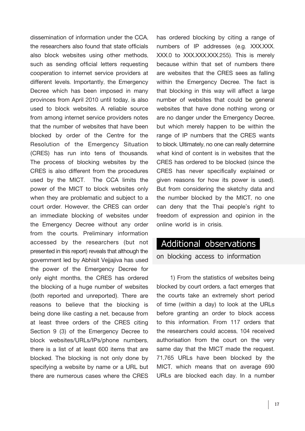dissemination of information under the CCA, the researchers also found that state officials also block websites using other methods, such as sending official letters requesting cooperation to internet service providers at different levels. Importantly, the Emergency Decree which has been imposed in many provinces from April 2010 until today, is also used to block websites. A reliable source from among internet service providers notes that the number of websites that have been blocked by order of the Centre for the Resolution of the Emergency Situation (CRES) has run into tens of thousands. The process of blocking websites by the CRES is also different from the procedures used by the MICT. The CCA limits the power of the MICT to block websites only when they are problematic and subject to a court order. However, the CRES can order an immediate blocking of websites under the Emergency Decree without any order from the courts. Preliminary information accessed by the researchers (but not presented in this report) reveals that although the government led by Abhisit Vejjajiva has used the power of the Emergency Decree for only eight months, the CRES has ordered the blocking of a huge number of websites (both reported and unreported). There are reasons to believe that the blocking is being done like casting a net, because from at least three orders of the CRES citing Section 9 (3) of the Emergency Decree to block websites/URLs/IPs/phone numbers, there is a list of at least 600 items that are blocked. The blocking is not only done by specifying a website by name or a URL but there are numerous cases where the CRES

has ordered blocking by citing a range of numbers of IP addresses (e.g. XXX.XXX. XXX.0 to XXX.XXX.XXX.255). This is merely because within that set of numbers there are websites that the CRES sees as falling within the Emergency Decree. The fact is that blocking in this way will affect a large number of websites that could be general websites that have done nothing wrong or are no danger under the Emergency Decree, but which merely happen to be within the range of IP numbers that the CRES wants to block. Ultimately, no one can really determine what kind of content is in websites that the CRES has ordered to be blocked (since the CRES has never specifically explained or given reasons for how its power is used). But from considering the sketchy data and the number blocked by the MICT, no one can deny that the Thai people's right to freedom of expression and opinion in the online world is in crisis.

## **Additional observations**

**on blocking access to information** 

1) From the statistics of websites being blocked by court orders, a fact emerges that the courts take an extremely short period of time (within a day) to look at the URLs before granting an order to block access to this information. From 117 orders that the researchers could access, 104 received authorisation from the court on the very same day that the MICT made the request. 71,765 URLs have been blocked by the MICT, which means that on average 690 URLs are blocked each day. In a number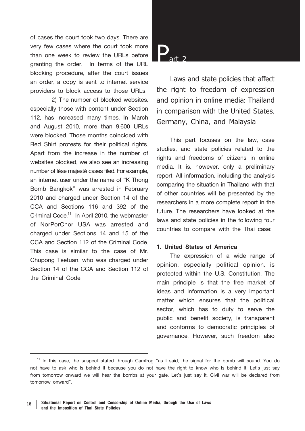of cases the court took two days. There are very few cases where the court took more than one week to review the URLs before granting the order. In terms of the URL blocking procedure, after the court issues an order, a copy is sent to internet service providers to block access to those URLs.

2) The number of blocked websites, especially those with content under Section 112, has increased many times. In March and August 2010, more than 9,600 URLs were blocked. Those months coincided with Red Shirt protests for their political rights. Apart from the increase in the number of websites blocked, we also see an increasing number of lèse majesté cases filed. For example, an internet user under the name of "K Thong Bomb Bangkok" was arrested in February 2010 and charged under Section 14 of the CCA and Sections 116 and 392 of the Criminal Code.<sup>11</sup> In April 2010, the webmaster of NorPorChor USA was arrested and charged under Sections 14 and 15 of the CCA and Section 112 of the Criminal Code. This case is similar to the case of Mr. Chupong Teetuan, who was charged under Section 14 of the CCA and Section 112 of the Criminal Code.

**Part 2**

**Laws and state policies that affect the right to freedom of expression and opinion in online media: Thailand in comparison with the United States, Germany, China, and Malaysia** 

This part focuses on the law, case studies, and state policies related to the rights and freedoms of citizens in online media. It is, however, only a preliminary report. All information, including the analysis comparing the situation in Thailand with that of other countries will be presented by the researchers in a more complete report in the future. The researchers have looked at the laws and state policies in the following four countries to compare with the Thai case:

#### **1. United States of America**

The expression of a wide range of opinion, especially political opinion, is protected within the U.S. Constitution. The main principle is that the free market of ideas and information is a very important matter which ensures that the political sector, which has to duty to serve the public and benefit society, is transparent and conforms to democratic principles of governance. However, such freedom also

<sup>&</sup>lt;sup>11</sup> In this case, the suspect stated through Camfrog "as I said, the signal for the bomb will sound. You do not have to ask who is behind it because you do not have the right to know who is behind it. Let's just say from tomorrow onward we will hear the bombs at your gate. Let's just say it. Civil war will be declared from tomorrow onward".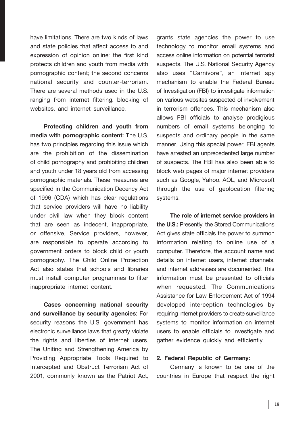have limitations. There are two kinds of laws and state policies that affect access to and expression of opinion online: the first kind protects children and youth from media with pornographic content; the second concerns national security and counter-terrorism. There are several methods used in the U.S. ranging from internet filtering, blocking of websites, and internet surveillance.

**Protecting children and youth from media with pornographic content:** The U.S. has two principles regarding this issue which are the prohibition of the dissemination of child pornography and prohibiting children and youth under 18 years old from accessing pornographic materials. These measures are specified in the Communication Decency Act of 1996 (CDA) which has clear regulations that service providers will have no liability under civil law when they block content that are seen as indecent, inappropriate, or offensive. Service providers, however, are responsible to operate according to government orders to block child or youth pornography. The Child Online Protection Act also states that schools and libraries must install computer programmes to filter inappropriate internet content.

**Cases concerning national security and surveillance by security agencies**: For security reasons the U.S. government has electronic surveillance laws that greatly violate the rights and liberties of internet users. The Uniting and Strengthening America by Providing Appropriate Tools Required to Intercepted and Obstruct Terrorism Act of 2001, commonly known as the Patriot Act, grants state agencies the power to use technology to monitor email systems and access online information on potential terrorist suspects. The U.S. National Security Agency also uses "Carnivore", an internet spy mechanism to enable the Federal Bureau of Investigation (FBI) to investigate information on various websites suspected of involvement in terrorism offences. This mechanism also allows FBI officials to analyse prodigious numbers of email systems belonging to suspects and ordinary people in the same manner. Using this special power, FBI agents have arrested an unprecedented large number of suspects. The FBI has also been able to block web pages of major internet providers such as Google, Yahoo, AOL, and Microsoft through the use of geolocation filtering systems.

**The role of internet service providers in the U.S.:** Presently, the Stored Communications Act gives state officials the power to summon information relating to online use of a computer. Therefore, the account name and details on internet users, internet channels, and internet addresses are documented. This information must be presented to officials when requested. The Communications Assistance for Law Enforcement Act of 1994 developed interception technologies by requiring internet providers to create surveillance systems to monitor information on internet users to enable officials to investigate and gather evidence quickly and efficiently.

#### **2. Federal Republic of Germany:**

Germany is known to be one of the countries in Europe that respect the right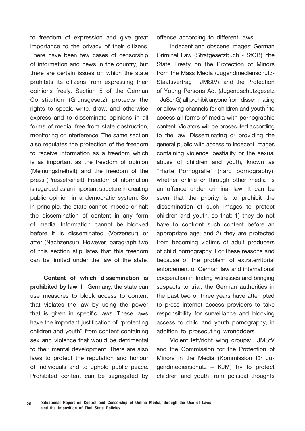to freedom of expression and give great importance to the privacy of their citizens. There have been few cases of censorship of information and news in the country, but there are certain issues on which the state prohibits its citizens from expressing their opinions freely. Section 5 of the German Constitution (Grunsgesetz) protects the rights to speak, write, draw, and otherwise express and to disseminate opinions in all forms of media, free from state obstruction, monitoring or interference. The same section also regulates the protection of the freedom to receive information as a freedom which is as important as the freedom of opinion (Meinungsfreiheit) and the freedom of the press (Pressefreiheit). Freedom of information is regarded as an important structure in creating public opinion in a democratic system. So in principle, the state cannot impede or halt the dissemination of content in any form of media. Information cannot be blocked before it is disseminated (Vorzensur) or after (Nachzensur). However, paragraph two of this section stipulates that this freedom can be limited under the law of the state.

**Content of which dissemination is prohibited by law:** In Germany, the state can use measures to block access to content that violates the law by using the power that is given in specific laws. These laws have the important justification of "protecting children and youth" from content containing sex and violence that would be detrimental to their mental development. There are also laws to protect the reputation and honour of individuals and to uphold public peace. Prohibited content can be segregated by offence according to different laws.

Indecent and obscene images: German Criminal Law (Strafgesetzbuch - StGB), the State Treaty on the Protection of Minors from the Mass Media (Jugendmedienschutz-Staatsvertrag - JMStV), and the Protection of Young Persons Act (Jugendschutzgesetz - JuSchG) all prohibit anyone from disseminating or allowing channels for children and youth $12$  to access all forms of media with pornographic content. Violators will be prosecuted according to the law. Disseminating or providing the general public with access to indecent images containing violence, bestiality or the sexual abuse of children and youth, known as "Harte Pornografie" (hard pornography), whether online or through other media, is an offence under criminal law. It can be seen that the priority is to prohibit the dissemination of such images to protect children and youth, so that: 1) they do not have to confront such content before an appropriate age; and 2) they are protected from becoming victims of adult producers of child pornography. For these reasons and because of the problem of extraterritorial enforcement of German law and international cooperation in finding witnesses and bringing suspects to trial, the German authorities in the past two or three years have attempted to press internet access providers to take responsibility for surveillance and blocking access to child and youth pornography, in addition to prosecuting wrongdoers.

Violent left/right wing groups:JMStV and the Commission for the Protection of Minors in the Media (Kommission für Ju- gendmedienschutz – KJM) try to protect children and youth from political thoughts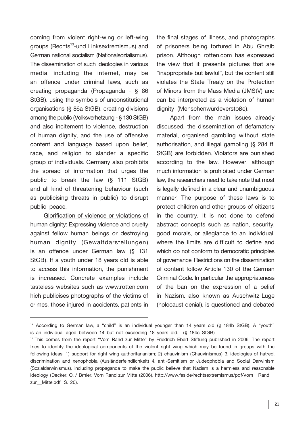coming from violent right-wing or left-wing groups (Rechts<sup>13</sup>-und Linksextremismus) and German national socialism (Nationalsozialismus). The dissemination of such ideologies in various media, including the internet, may be an offence under criminal laws, such as creating propaganda (Propaganda - § 86 StGB), using the symbols of unconstitutional organisations (§ 86a StGB), creating divisions among the public (Volksverhetzung - § 130 StGB) and also incitement to violence, destruction of human dignity, and the use of offensive content and language based upon belief, race, and religion to slander a specific group of individuals. Germany also prohibits the spread of information that urges the public to break the law (§ 111 StGB) and all kind of threatening behaviour (such as publicising threats in public) to disrupt public peace.

Glorification of violence or violations of human dignity: Expressing violence and cruelty against fellow human beings or destroying human dignity (Gewaltdarstellungen) is an offence under German law (§ 131 StGB). If a youth under 18 years old is able to access this information, the punishment is increased. Concrete examples include tasteless websites such as www.rotten.com hich publicises photographs of the victims of crimes, those injured in accidents, patients in

the final stages of illness, and photographs of prisoners being tortured in Abu Ghraib prison. Although rotten.com has expressed the view that it presents pictures that are "inappropriate but lawful", but the content still violates the State Treaty on the Protection of Minors from the Mass Media (JMStV) and can be interpreted as a violation of human dignity (Menschenwürdeverstoße).

Apart from the main issues already discussed, the dissemination of defamatory material, organised gambling without state authorisation, and illegal gambling (§ 284 ff. StGB) are forbidden. Violators are punished according to the law. However, although much information is prohibited under German law, the researchers need to take note that most is legally defined in a clear and unambiguous manner. The purpose of these laws is to protect children and other groups of citizens in the country. It is not done to defend abstract concepts such as nation, security, good morals, or allegiance to an individual, where the limits are difficult to define and which do not conform to democratic principles of governance. Restrictions on the dissemination of content follow Article 130 of the German Criminal Code. In particular the appropriateness of the ban on the expression of a belief in Nazism, also known as Auschwitz-Lüge (holocaust denial), is questioned and debated

<sup>&</sup>lt;sup>12</sup> According to German law, a "child" is an individual younger than 14 years old (§ 184b StGB). A "youth" is an individual aged between 14 but not exceeding 18 years old. (§ 184c StGB)

 $13$  This comes from the report "Vom Rand zur Mitte" by Friedrich Ebert Stiftung published in 2006. The report tries to identify the ideological components of the violent right wing which may be found in groups with the following ideas: 1) support for right wing authoritarianism; 2) chauvinism (Chauvinismus) 3. ideologies of hatred, discrimination and xenophobia (Ausländerfeindlichkeit) 4. anti-Semitism or Judeophobia and Social Darwinism (Sozialdarwinismus), including propaganda to make the public believe that Nazism is a harmless and reasonable ideology (Decker, O. / Brhler, Vom Rand zur Mitte (2006), http://www.fes.de/rechtsextremismus/pdf/Vom\_Rand\_ zur\_Mitte.pdf, S. 20).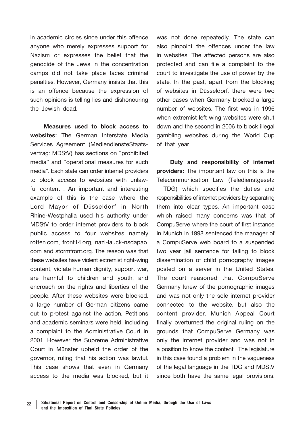in academic circles since under this offence anyone who merely expresses support for Nazism or expresses the belief that the genocide of the Jews in the concentration camps did not take place faces criminal penalties. However, Germany insists that this is an offence because the expression of such opinions is telling lies and dishonouring the Jewish dead.

**Measures used to block access to websites:** The German Interstate Media Services Agreement (MediendiensteStaatsvertrag: MDStV) has sections on "prohibited media" and "operational measures for such media". Each state can order internet providers to block access to websites with unlawful content . An important and interesting example of this is the case where the Lord Mayor of Düsseldorf in North Rhine-Westphalia used his authority under MDStV to order internet providers to block public access to four websites namely rotten.com, front14.org, nazi-lauck-nsdapao. com and stormfront.org. The reason was that these websites have violent extremist right-wing content, violate human dignity, support war, are harmful to children and youth, and encroach on the rights and liberties of the people. After these websites were blocked, a large number of German citizens came out to protest against the action. Petitions and academic seminars were held, including a complaint to the Administrative Court in 2001. However the Supreme Administrative Court in Münster upheld the order of the governor, ruling that his action was lawful. This case shows that even in Germany access to the media was blocked, but it was not done repeatedly. The state can also pinpoint the offences under the law in websites. The affected persons are also protected and can file a complaint to the court to investigate the use of power by the state. In the past, apart from the blocking of websites in Düsseldorf, there were two other cases when Germany blocked a large number of websites. The first was in 1996 when extremist left wing websites were shut down and the second in 2006 to block illegal gambling websites during the World Cup of that year.

**Duty and responsibility of internet providers:** The important law on this is the Telecommunication Law (Teledienstgesetz - TDG) which specifies the duties and responsibilities of internet providers by separating them into clear types. An important case which raised many concerns was that of CompuServe where the court of first instance in Munich in 1998 sentenced the manager of a CompuServe web board to a suspended two year jail sentence for failing to block dissemination of child pornography images posted on a server in the United States. The court reasoned that CompuServe Germany knew of the pornographic images and was not only the sole internet provider connected to the website, but also the content provider. Munich Appeal Court finally overturned the original ruling on the grounds that CompuServe Germany was only the internet provider and was not in a position to know the content. The legislature in this case found a problem in the vagueness of the legal language in the TDG and MDStV since both have the same legal provisions.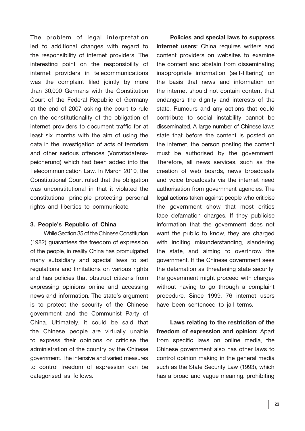The problem of legal interpretation led to additional changes with regard to the responsibility of internet providers. The interesting point on the responsibility of internet providers in telecommunications was the complaint filed jointly by more than 30,000 Germans with the Constitution Court of the Federal Republic of Germany at the end of 2007 asking the court to rule on the constitutionality of the obligation of internet providers to document traffic for at least six months with the aim of using the data in the investigation of acts of terrorism and other serious offences (Vorratsdatenspeicherung) which had been added into the Telecommunication Law. In March 2010, the Constitutional Court ruled that the obligation was unconstitutional in that it violated the constitutional principle protecting personal rights and liberties to communicate.

#### **3. People's Republic of China**

While Section 35 of the Chinese Constitution (1982) guarantees the freedom of expression of the people, in reality China has promulgated many subsidiary and special laws to set regulations and limitations on various rights and has policies that obstruct citizens from expressing opinions online and accessing news and information. The state's argument is to protect the security of the Chinese government and the Communist Party of China. Ultimately, it could be said that the Chinese people are virtually unable to express their opinions or criticise the administration of the country by the Chinese government. The intensive and varied measures to control freedom of expression can be categorised as follows.

**Policies and special laws to suppress internet users:** China requires writers and content providers on websites to examine the content and abstain from disseminating inappropriate information (self-filtering) on the basis that news and information on the internet should not contain content that endangers the dignity and interests of the state. Rumours and any actions that could contribute to social instability cannot be disseminated. A large number of Chinese laws state that before the content is posted on the internet, the person posting the content must be authorised by the government. Therefore, all news services, such as the creation of web boards, news broadcasts and voice broadcasts via the internet need authorisation from government agencies. The legal actions taken against people who criticise the government show that most critics face defamation charges. If they publicise information that the government does not want the public to know, they are charged with inciting misunderstanding, slandering the state, and aiming to overthrow the government. If the Chinese government sees the defamation as threatening state security, the government might proceed with charges without having to go through a complaint procedure. Since 1999, 76 internet users have been sentenced to jail terms.

**Laws relating to the restriction of the freedom of expression and opinion:** Apart from specific laws on online media, the Chinese government also has other laws to control opinion making in the general media such as the State Security Law (1993), which has a broad and vague meaning, prohibiting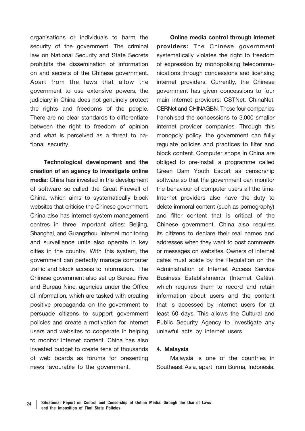organisations or individuals to harm the security of the government. The criminal law on National Security and State Secrets prohibits the dissemination of information on and secrets of the Chinese government. Apart from the laws that allow the government to use extensive powers, the judiciary in China does not genuinely protect the rights and freedoms of the people. There are no clear standards to differentiate between the right to freedom of opinion and what is perceived as a threat to national security.

**Technological development and the creation of an agency to investigate online media:** China has invested in the development of software so-called the Great Firewall of China, which aims to systematically block websites that criticise the Chinese government. China also has internet system management centres in three important cities: Beijing, Shanghai, and Guangzhou. Internet monitoring and surveillance units also operate in key cities in the country. With this system, the government can perfectly manage computer traffic and block access to information. The Chinese government also set up Bureau Five and Bureau Nine, agencies under the Office of Information, which are tasked with creating positive propaganda on the government to persuade citizens to support government policies and create a motivation for internet users and websites to cooperate in helping to monitor internet content. China has also invested budget to create tens of thousands of web boards as forums for presenting news favourable to the government.

**Online media control through internet providers:** The Chinese government systematically violates the right to freedom of expression by monopolising telecommunications through concessions and licensing internet providers. Currently, the Chinese government has given concessions to four main internet providers: CSTNet, ChinaNet, CERNet and CHINAGBN. These four companies franchised the concessions to 3,000 smaller internet provider companies. Through this monopoly policy, the government can fully regulate policies and practices to filter and block content. Computer shops in China are obliged to pre-install a programme called Green Dam Youth Escort as censorship software so that the government can monitor the behaviour of computer users all the time. Internet providers also have the duty to delete immoral content (such as pornography) and filter content that is critical of the Chinese government. China also requires its citizens to declare their real names and addresses when they want to post comments or messages on websites. Owners of internet cafés must abide by the Regulation on the Administration of Internet Access Service Business Establishments (Internet Cafés), which requires them to record and retain information about users and the content that is accessed by internet users for at least 60 days. This allows the Cultural and Public Security Agency to investigate any unlawful acts by internet users.

**4. Malaysia** Malaysia is one of the countries in Southeast Asia, apart from Burma, Indonesia,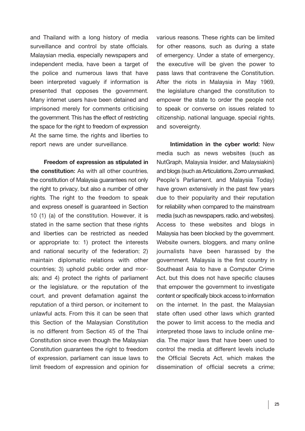and Thailand with a long history of media surveillance and control by state officials. Malaysian media, especially newspapers and independent media, have been a target of the police and numerous laws that have been interpreted vaguely if information is presented that opposes the government. Many internet users have been detained and imprisoned merely for comments criticising the government. This has the effect of restricting the space for the right to freedom of expression At the same time, the rights and liberties to report news are under surveillance.

**Freedom of expression as stipulated in the constitution:** As with all other countries, the constitution of Malaysia guarantees not only the right to privacy, but also a number of other rights. The right to the freedom to speak and express oneself is guaranteed in Section 10 (1) (a) of the constitution. However, it is stated in the same section that these rights and liberties can be restricted as needed or appropriate to: 1) protect the interests and national security of the federation; 2) maintain diplomatic relations with other countries; 3) uphold public order and morals; and 4) protect the rights of parliament or the legislature, or the reputation of the court, and prevent defamation against the reputation of a third person, or incitement to unlawful acts. From this it can be seen that this Section of the Malaysian Constitution is no different from Section 45 of the Thai Constitution since even though the Malaysian Constitution guarantees the right to freedom of expression, parliament can issue laws to limit freedom of expression and opinion for

various reasons. These rights can be limited for other reasons, such as during a state of emergency. Under a state of emergency, the executive will be given the power to pass laws that contravene the Constitution. After the riots in Malaysia in May 1969, the legislature changed the constitution to empower the state to order the people not to speak or converse on issues related to citizenship, national language, special rights, and sovereignty.

**Intimidation in the cyber world:** New media such as news websites (such as NutGraph, Malaysia Insider, and Malaysiakini) and blogs (such as Articulations, Zorro unmasked, People's Parliament, and Malaysia Today) have grown extensively in the past few years due to their popularity and their reputation for reliability when compared to the mainstream media (such as newspapers, radio, and websites). Access to these websites and blogs in Malaysia has been blocked by the government. Website owners, bloggers, and many online journalists have been harassed by the government. Malaysia is the first country in Southeast Asia to have a Computer Crime Act, but this does not have specific clauses that empower the government to investigate content or specifically block access to information on the internet. In the past, the Malaysian state often used other laws which granted the power to limit access to the media and interpreted those laws to include online me- dia. The major laws that have been used to control the media at different levels include the Official Secrets Act, which makes the dissemination of official secrets a crime;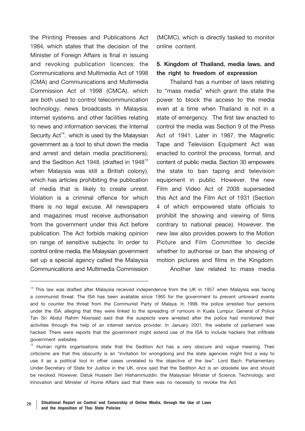the Printing Presses and Publications Act 1984, which states that the decision of the Minister of Foreign Affairs is final in issuing and revoking publication licences; the Communications and Multimedia Act of 1998 (CMA) and Communications and Multimedia Commission Act of 1998 (CMCA), which are both used to control telecommunication technology, news broadcasts in Malaysia, internet systems, and other facilities relating to news and information services; the Internal Security  $Act^{14}$ , which is used by the Malaysian government as a tool to shut down the media and arrest and detain media practitioners); and the Sedition Act 1948, (drafted in 1948<sup>15</sup> when Malaysia was still a British colony), which has articles prohibiting the publication of media that is likely to create unrest. Violation is a criminal offence for which there is no legal excuse. All newspapers and magazines must receive authorisation from the government under this Act before publication. The Act forbids making opinion on range of sensitive subjects. In order to control online media, the Malaysian government set up a special agency called the Malaysia Communications and Multimedia Commission

(MCMC), which is directly tasked to monitor online content.

## **5. Kingdom of Thailand, media laws, and the right to freedom of expression**

Thailand has a number of laws relating to "mass media" which grant the state the power to block the access to the media even at a time when Thailand is not in a state of emergency. The first law enacted to control the media was Section 9 of the Press Act of 1941. Later in 1987, the Magnetic Tape and Television Equipment Act was enacted to control the process, format, and content of public media. Section 30 empowers the state to ban taping and television equipment in public. However, the new Film and Video Act of 2008 superseded this Act and the Film Act of 1931 (Section 4 of which empowered state officials to prohibit the showing and viewing of films contrary to national peace). However, the new law also provides powers to the Motion Picture and Film Committee to decide whether to authorise or ban the showing of motion pictures and films in the Kingdom. Another law related to mass media

<sup>&</sup>lt;sup>14</sup> This law was drafted after Malaysia received independence from the UK in 1957 when Malaysia was facing a communist threat. The ISA has been available since 1960 for the government to prevent untoward events and to counter the threat from the Communist Party of Malaya. In 1998, the police arrested four persons under the ISA, alleging that they were linked to the spreading of rumours in Kuala Lumpur. General of Police Tan Sri Abdul Rahim Noorsaid said that the suspects were arrested after the police had monitored their activities through the help of an internet service provider. In January 2001, the website of parliament was hacked. There were reports that the government might extend use of the ISA to include hackers that infiltrate government websites.

<sup>&</sup>lt;sup>15</sup> Human rights organisations state that the Sedition Act has a very obscure and vague meaning. Their criticisms are that this obscurity is an "invitation for wrongdoing and the state agencies might find a way to use it as a political tool in other cases unrelated to the objective of the law". Lord Bach, Parliamentary Under-Secretary of State for Justice in the UK, once said that the Sedition Act is an obsolete law and should be revoked. However, Datuk Hussein Seri Hishammuddin, the Malaysian Minister of Science, Technology, and Innovation and Minister of Home Affairs said that there was no necessity to revoke the Act.